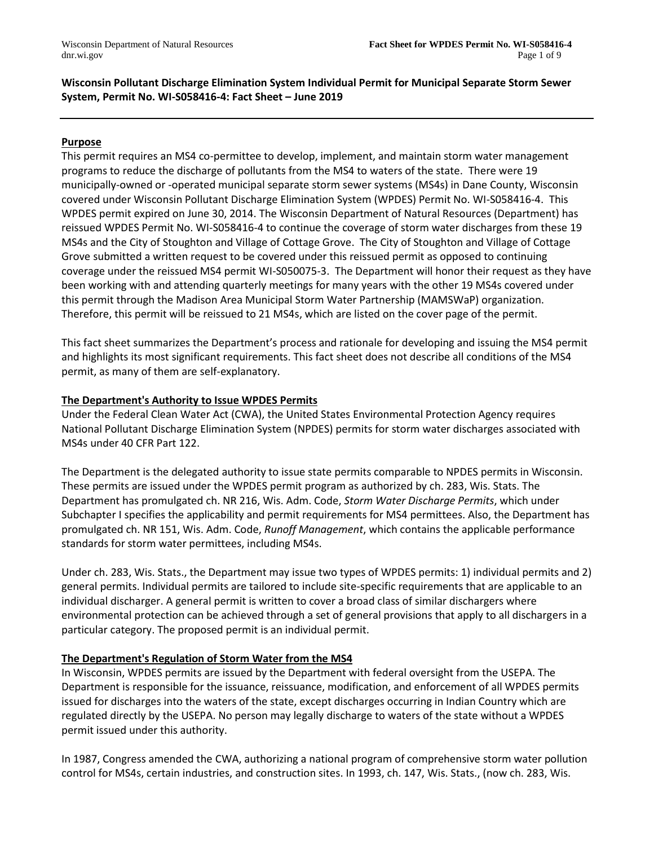# **Wisconsin Pollutant Discharge Elimination System Individual Permit for Municipal Separate Storm Sewer System, Permit No. WI-S058416-4: Fact Sheet – June 2019**

### **Purpose**

This permit requires an MS4 co-permittee to develop, implement, and maintain storm water management programs to reduce the discharge of pollutants from the MS4 to waters of the state. There were 19 municipally-owned or -operated municipal separate storm sewer systems (MS4s) in Dane County, Wisconsin covered under Wisconsin Pollutant Discharge Elimination System (WPDES) Permit No. WI-S058416-4. This WPDES permit expired on June 30, 2014. The Wisconsin Department of Natural Resources (Department) has reissued WPDES Permit No. WI-S058416-4 to continue the coverage of storm water discharges from these 19 MS4s and the City of Stoughton and Village of Cottage Grove. The City of Stoughton and Village of Cottage Grove submitted a written request to be covered under this reissued permit as opposed to continuing coverage under the reissued MS4 permit WI-S050075-3. The Department will honor their request as they have been working with and attending quarterly meetings for many years with the other 19 MS4s covered under this permit through the Madison Area Municipal Storm Water Partnership (MAMSWaP) organization. Therefore, this permit will be reissued to 21 MS4s, which are listed on the cover page of the permit.

This fact sheet summarizes the Department's process and rationale for developing and issuing the MS4 permit and highlights its most significant requirements. This fact sheet does not describe all conditions of the MS4 permit, as many of them are self-explanatory.

### **The Department's Authority to Issue WPDES Permits**

Under the Federal Clean Water Act (CWA), the United States Environmental Protection Agency requires National Pollutant Discharge Elimination System (NPDES) permits for storm water discharges associated with MS4s under 40 CFR Part 122.

The Department is the delegated authority to issue state permits comparable to NPDES permits in Wisconsin. These permits are issued under the WPDES permit program as authorized by ch. 283, Wis. Stats. The Department has promulgated ch. NR 216, Wis. Adm. Code, *Storm Water Discharge Permits*, which under Subchapter I specifies the applicability and permit requirements for MS4 permittees. Also, the Department has promulgated ch. NR 151, Wis. Adm. Code, *Runoff Management*, which contains the applicable performance standards for storm water permittees, including MS4s.

Under ch. 283, Wis. Stats., the Department may issue two types of WPDES permits: 1) individual permits and 2) general permits. Individual permits are tailored to include site-specific requirements that are applicable to an individual discharger. A general permit is written to cover a broad class of similar dischargers where environmental protection can be achieved through a set of general provisions that apply to all dischargers in a particular category. The proposed permit is an individual permit.

# **The Department's Regulation of Storm Water from the MS4**

In Wisconsin, WPDES permits are issued by the Department with federal oversight from the USEPA. The Department is responsible for the issuance, reissuance, modification, and enforcement of all WPDES permits issued for discharges into the waters of the state, except discharges occurring in Indian Country which are regulated directly by the USEPA. No person may legally discharge to waters of the state without a WPDES permit issued under this authority.

In 1987, Congress amended the CWA, authorizing a national program of comprehensive storm water pollution control for MS4s, certain industries, and construction sites. In 1993, ch. 147, Wis. Stats., (now ch. 283, Wis.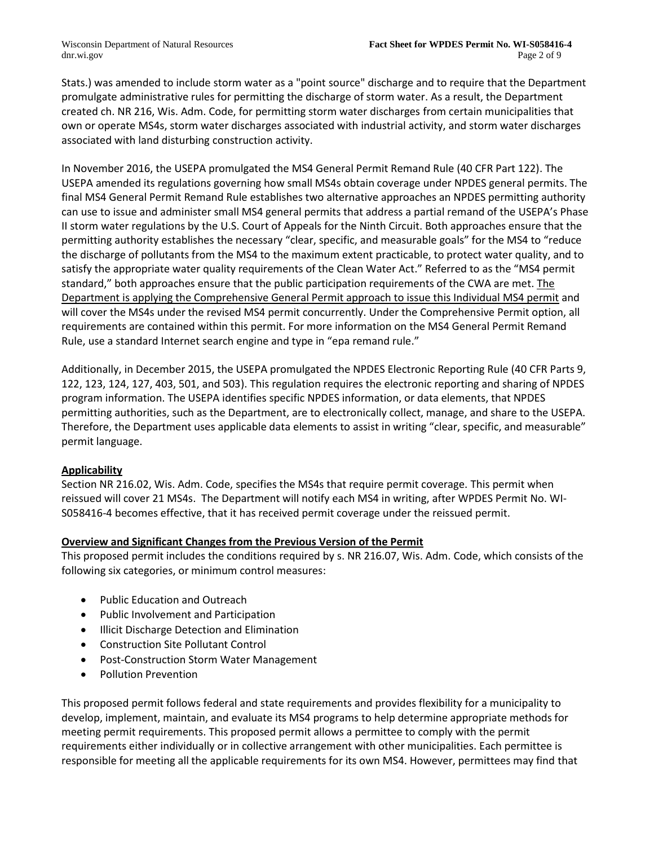Stats.) was amended to include storm water as a "point source" discharge and to require that the Department promulgate administrative rules for permitting the discharge of storm water. As a result, the Department created ch. NR 216, Wis. Adm. Code, for permitting storm water discharges from certain municipalities that own or operate MS4s, storm water discharges associated with industrial activity, and storm water discharges associated with land disturbing construction activity.

In November 2016, the USEPA promulgated the MS4 General Permit Remand Rule (40 CFR Part 122). The USEPA amended its regulations governing how small MS4s obtain coverage under NPDES general permits. The final MS4 General Permit Remand Rule establishes two alternative approaches an NPDES permitting authority can use to issue and administer small MS4 general permits that address a partial remand of the USEPA's Phase II storm water regulations by the U.S. Court of Appeals for the Ninth Circuit. Both approaches ensure that the permitting authority establishes the necessary "clear, specific, and measurable goals" for the MS4 to "reduce the discharge of pollutants from the MS4 to the maximum extent practicable, to protect water quality, and to satisfy the appropriate water quality requirements of the Clean Water Act." Referred to as the "MS4 permit standard," both approaches ensure that the public participation requirements of the CWA are met. The Department is applying the Comprehensive General Permit approach to issue this Individual MS4 permit and will cover the MS4s under the revised MS4 permit concurrently. Under the Comprehensive Permit option, all requirements are contained within this permit. For more information on the MS4 General Permit Remand Rule, use a standard Internet search engine and type in "epa remand rule."

Additionally, in December 2015, the USEPA promulgated the NPDES Electronic Reporting Rule (40 CFR Parts 9, 122, 123, 124, 127, 403, 501, and 503). This regulation requires the electronic reporting and sharing of NPDES program information. The USEPA identifies specific NPDES information, or data elements, that NPDES permitting authorities, such as the Department, are to electronically collect, manage, and share to the USEPA. Therefore, the Department uses applicable data elements to assist in writing "clear, specific, and measurable" permit language.

# **Applicability**

Section NR 216.02, Wis. Adm. Code, specifies the MS4s that require permit coverage. This permit when reissued will cover 21 MS4s. The Department will notify each MS4 in writing, after WPDES Permit No. WI-S058416-4 becomes effective, that it has received permit coverage under the reissued permit.

# **Overview and Significant Changes from the Previous Version of the Permit**

This proposed permit includes the conditions required by s. NR 216.07, Wis. Adm. Code, which consists of the following six categories, or minimum control measures:

- Public Education and Outreach
- Public Involvement and Participation
- Illicit Discharge Detection and Elimination
- Construction Site Pollutant Control
- Post-Construction Storm Water Management
- Pollution Prevention

This proposed permit follows federal and state requirements and provides flexibility for a municipality to develop, implement, maintain, and evaluate its MS4 programs to help determine appropriate methods for meeting permit requirements. This proposed permit allows a permittee to comply with the permit requirements either individually or in collective arrangement with other municipalities. Each permittee is responsible for meeting all the applicable requirements for its own MS4. However, permittees may find that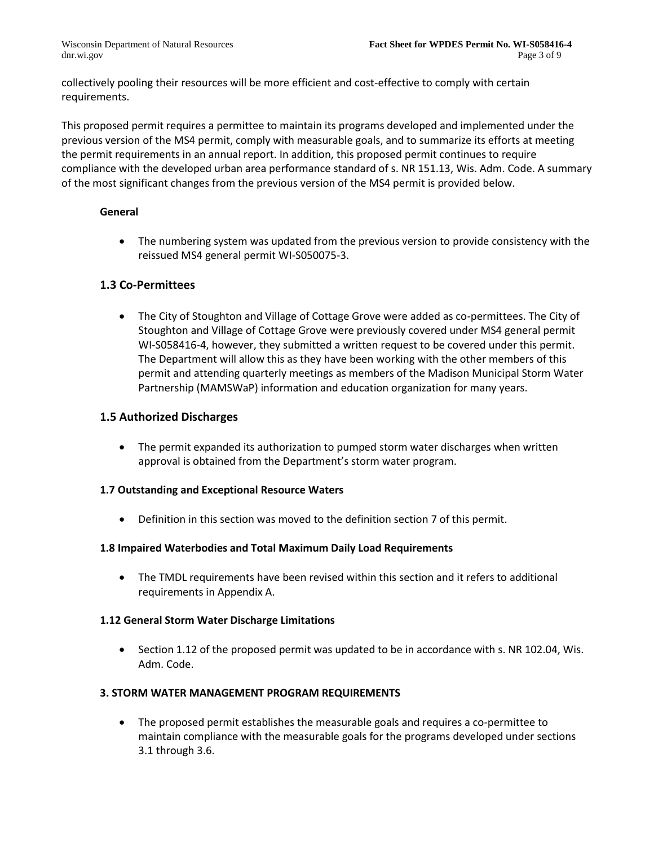collectively pooling their resources will be more efficient and cost-effective to comply with certain requirements.

This proposed permit requires a permittee to maintain its programs developed and implemented under the previous version of the MS4 permit, comply with measurable goals, and to summarize its efforts at meeting the permit requirements in an annual report. In addition, this proposed permit continues to require compliance with the developed urban area performance standard of s. NR 151.13, Wis. Adm. Code. A summary of the most significant changes from the previous version of the MS4 permit is provided below.

### **General**

• The numbering system was updated from the previous version to provide consistency with the reissued MS4 general permit WI-S050075-3.

# **1.3 Co-Permittees**

• The City of Stoughton and Village of Cottage Grove were added as co-permittees. The City of Stoughton and Village of Cottage Grove were previously covered under MS4 general permit WI-S058416-4, however, they submitted a written request to be covered under this permit. The Department will allow this as they have been working with the other members of this permit and attending quarterly meetings as members of the Madison Municipal Storm Water Partnership (MAMSWaP) information and education organization for many years.

# **1.5 Authorized Discharges**

• The permit expanded its authorization to pumped storm water discharges when written approval is obtained from the Department's storm water program.

# **1.7 Outstanding and Exceptional Resource Waters**

• Definition in this section was moved to the definition section 7 of this permit.

#### **1.8 Impaired Waterbodies and Total Maximum Daily Load Requirements**

• The TMDL requirements have been revised within this section and it refers to additional requirements in Appendix A.

# **1.12 General Storm Water Discharge Limitations**

• Section 1.12 of the proposed permit was updated to be in accordance with s. NR 102.04, Wis. Adm. Code.

# **3. STORM WATER MANAGEMENT PROGRAM REQUIREMENTS**

• The proposed permit establishes the measurable goals and requires a co-permittee to maintain compliance with the measurable goals for the programs developed under sections 3.1 through 3.6.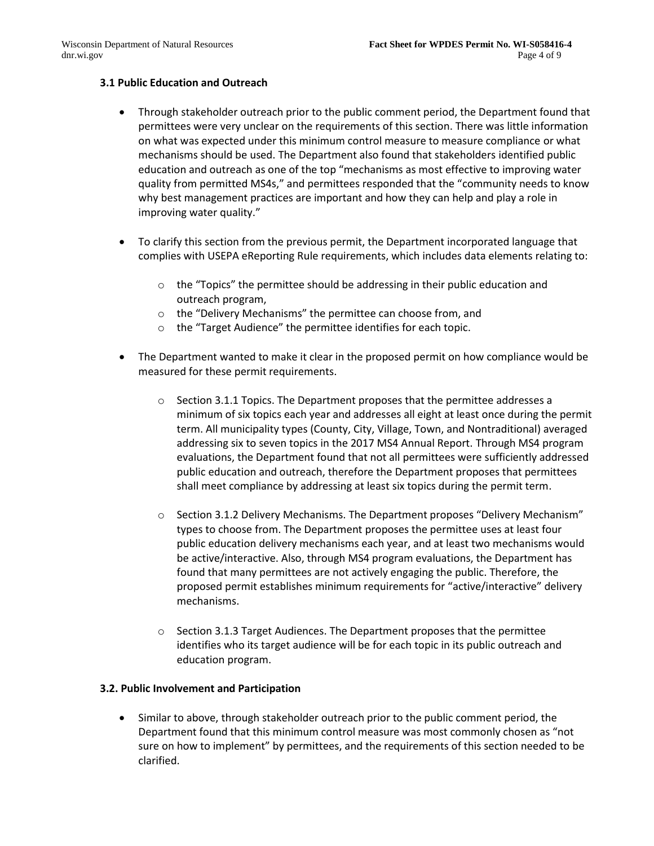### **3.1 Public Education and Outreach**

- Through stakeholder outreach prior to the public comment period, the Department found that permittees were very unclear on the requirements of this section. There was little information on what was expected under this minimum control measure to measure compliance or what mechanisms should be used. The Department also found that stakeholders identified public education and outreach as one of the top "mechanisms as most effective to improving water quality from permitted MS4s," and permittees responded that the "community needs to know why best management practices are important and how they can help and play a role in improving water quality."
- To clarify this section from the previous permit, the Department incorporated language that complies with USEPA eReporting Rule requirements, which includes data elements relating to:
	- o the "Topics" the permittee should be addressing in their public education and outreach program,
	- o the "Delivery Mechanisms" the permittee can choose from, and
	- o the "Target Audience" the permittee identifies for each topic.
- The Department wanted to make it clear in the proposed permit on how compliance would be measured for these permit requirements.
	- $\circ$  Section 3.1.1 Topics. The Department proposes that the permittee addresses a minimum of six topics each year and addresses all eight at least once during the permit term. All municipality types (County, City, Village, Town, and Nontraditional) averaged addressing six to seven topics in the 2017 MS4 Annual Report. Through MS4 program evaluations, the Department found that not all permittees were sufficiently addressed public education and outreach, therefore the Department proposes that permittees shall meet compliance by addressing at least six topics during the permit term.
	- o Section 3.1.2 Delivery Mechanisms. The Department proposes "Delivery Mechanism" types to choose from. The Department proposes the permittee uses at least four public education delivery mechanisms each year, and at least two mechanisms would be active/interactive. Also, through MS4 program evaluations, the Department has found that many permittees are not actively engaging the public. Therefore, the proposed permit establishes minimum requirements for "active/interactive" delivery mechanisms.
	- $\circ$  Section 3.1.3 Target Audiences. The Department proposes that the permittee identifies who its target audience will be for each topic in its public outreach and education program.

#### **3.2. Public Involvement and Participation**

• Similar to above, through stakeholder outreach prior to the public comment period, the Department found that this minimum control measure was most commonly chosen as "not sure on how to implement" by permittees, and the requirements of this section needed to be clarified.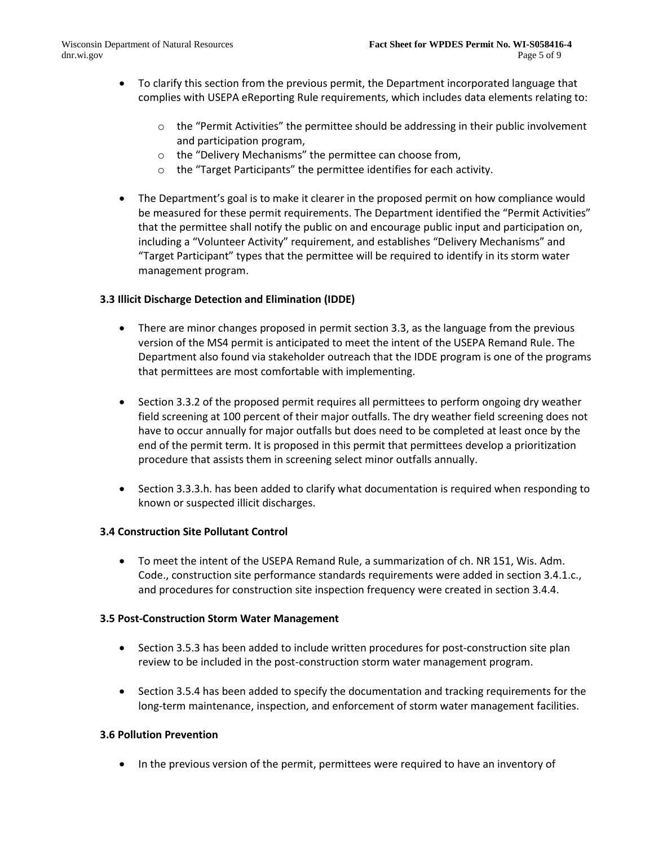- To clarify this section from the previous permit, the Department incorporated language that complies with USEPA eReporting Rule requirements, which includes data elements relating to:
	- $\circ$  the "Permit Activities" the permittee should be addressing in their public involvement and participation program,
	- o the "Delivery Mechanisms" the permittee can choose from,
	- o the "Target Participants" the permittee identifies for each activity.
- The Department's goal is to make it clearer in the proposed permit on how compliance would be measured for these permit requirements. The Department identified the "Permit Activities" that the permittee shall notify the public on and encourage public input and participation on, including a "Volunteer Activity" requirement, and establishes "Delivery Mechanisms" and "Target Participant" types that the permittee will be required to identify in its storm water management program.

# **3.3 Illicit Discharge Detection and Elimination (IDDE)**

- There are minor changes proposed in permit section 3.3, as the language from the previous version of the MS4 permit is anticipated to meet the intent of the USEPA Remand Rule. The Department also found via stakeholder outreach that the IDDE program is one of the programs that permittees are most comfortable with implementing.
- Section 3.3.2 of the proposed permit requires all permittees to perform ongoing dry weather field screening at 100 percent of their major outfalls. The dry weather field screening does not have to occur annually for major outfalls but does need to be completed at least once by the end of the permit term. It is proposed in this permit that permittees develop a prioritization procedure that assists them in screening select minor outfalls annually.
- Section 3.3.3.h. has been added to clarify what documentation is required when responding to known or suspected illicit discharges.

#### **3.4 Construction Site Pollutant Control**

• To meet the intent of the USEPA Remand Rule, a summarization of ch. NR 151, Wis. Adm. Code., construction site performance standards requirements were added in section 3.4.1.c., and procedures for construction site inspection frequency were created in section 3.4.4.

#### **3.5 Post-Construction Storm Water Management**

- Section 3.5.3 has been added to include written procedures for post-construction site plan review to be included in the post-construction storm water management program.
- Section 3.5.4 has been added to specify the documentation and tracking requirements for the long-term maintenance, inspection, and enforcement of storm water management facilities.

# **3.6 Pollution Prevention**

• In the previous version of the permit, permittees were required to have an inventory of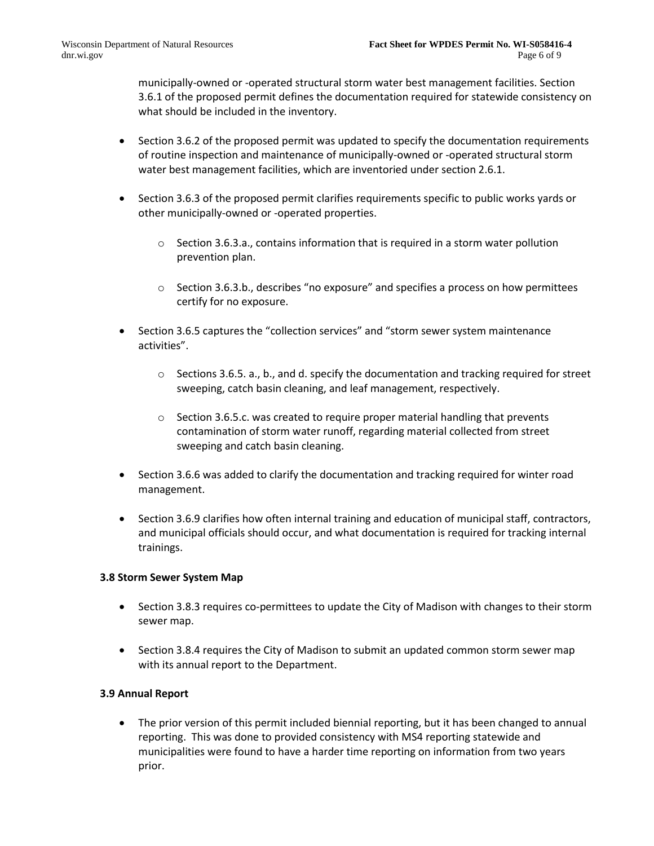municipally-owned or -operated structural storm water best management facilities. Section 3.6.1 of the proposed permit defines the documentation required for statewide consistency on what should be included in the inventory.

- Section 3.6.2 of the proposed permit was updated to specify the documentation requirements of routine inspection and maintenance of municipally-owned or -operated structural storm water best management facilities, which are inventoried under section 2.6.1.
- Section 3.6.3 of the proposed permit clarifies requirements specific to public works yards or other municipally-owned or -operated properties.
	- $\circ$  Section 3.6.3.a., contains information that is required in a storm water pollution prevention plan.
	- $\circ$  Section 3.6.3.b., describes "no exposure" and specifies a process on how permittees certify for no exposure.
- Section 3.6.5 captures the "collection services" and "storm sewer system maintenance activities".
	- $\circ$  Sections 3.6.5. a., b., and d. specify the documentation and tracking required for street sweeping, catch basin cleaning, and leaf management, respectively.
	- o Section 3.6.5.c. was created to require proper material handling that prevents contamination of storm water runoff, regarding material collected from street sweeping and catch basin cleaning.
- Section 3.6.6 was added to clarify the documentation and tracking required for winter road management.
- Section 3.6.9 clarifies how often internal training and education of municipal staff, contractors, and municipal officials should occur, and what documentation is required for tracking internal trainings.

# **3.8 Storm Sewer System Map**

- Section 3.8.3 requires co-permittees to update the City of Madison with changes to their storm sewer map.
- Section 3.8.4 requires the City of Madison to submit an updated common storm sewer map with its annual report to the Department.

# **3.9 Annual Report**

• The prior version of this permit included biennial reporting, but it has been changed to annual reporting. This was done to provided consistency with MS4 reporting statewide and municipalities were found to have a harder time reporting on information from two years prior.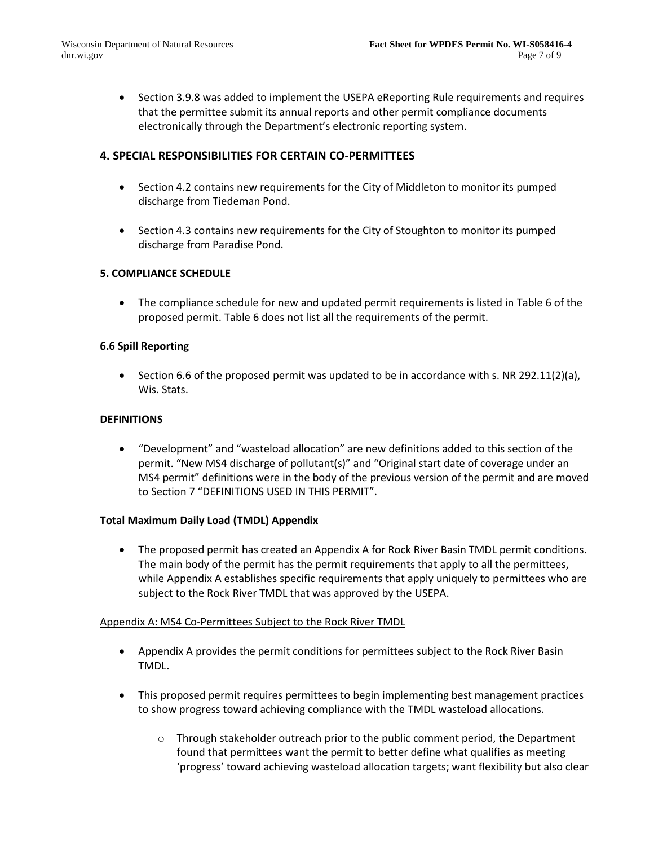• Section 3.9.8 was added to implement the USEPA eReporting Rule requirements and requires that the permittee submit its annual reports and other permit compliance documents electronically through the Department's electronic reporting system.

# **4. SPECIAL RESPONSIBILITIES FOR CERTAIN CO-PERMITTEES**

- Section 4.2 contains new requirements for the City of Middleton to monitor its pumped discharge from Tiedeman Pond.
- Section 4.3 contains new requirements for the City of Stoughton to monitor its pumped discharge from Paradise Pond.

#### **5. COMPLIANCE SCHEDULE**

• The compliance schedule for new and updated permit requirements is listed in Table 6 of the proposed permit. Table 6 does not list all the requirements of the permit.

#### **6.6 Spill Reporting**

• Section 6.6 of the proposed permit was updated to be in accordance with s. NR 292.11(2)(a), Wis. Stats.

#### **DEFINITIONS**

• "Development" and "wasteload allocation" are new definitions added to this section of the permit. "New MS4 discharge of pollutant(s)" and "Original start date of coverage under an MS4 permit" definitions were in the body of the previous version of the permit and are moved to Section 7 "DEFINITIONS USED IN THIS PERMIT".

#### **Total Maximum Daily Load (TMDL) Appendix**

• The proposed permit has created an Appendix A for Rock River Basin TMDL permit conditions. The main body of the permit has the permit requirements that apply to all the permittees, while Appendix A establishes specific requirements that apply uniquely to permittees who are subject to the Rock River TMDL that was approved by the USEPA.

#### Appendix A: MS4 Co-Permittees Subject to the Rock River TMDL

- Appendix A provides the permit conditions for permittees subject to the Rock River Basin TMDL.
- This proposed permit requires permittees to begin implementing best management practices to show progress toward achieving compliance with the TMDL wasteload allocations.
	- $\circ$  Through stakeholder outreach prior to the public comment period, the Department found that permittees want the permit to better define what qualifies as meeting 'progress' toward achieving wasteload allocation targets; want flexibility but also clear